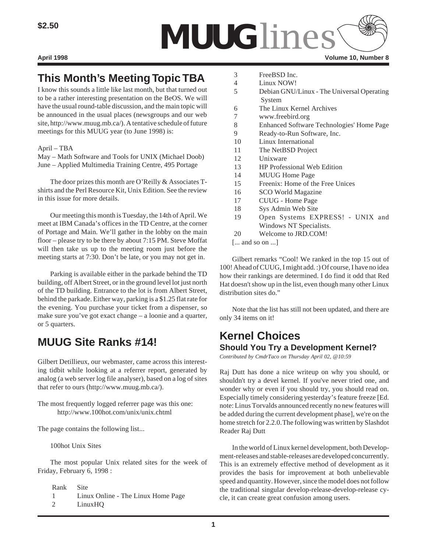

# **This Month's Meeting Topic TBA**

I know this sounds a little like last month, but that turned out to be a rather interesting presentation on the BeOS. We will have the usual round-table discussion, and the main topic will be announced in the usual places (newsgroups and our web site, http://www.muug.mb.ca/). A tentative schedule of future meetings for this MUUG year (to June 1998) is:

## April – TBA

May – Math Software and Tools for UNIX (Michael Doob) June – Applied Multimedia Training Centre, 495 Portage

The door prizes this month are O'Reilly & Associates Tshirts and the Perl Resource Kit, Unix Edition. See the review in this issue for more details.

Our meeting this month is Tuesday, the 14th of April. We meet at IBM Canada's offices in the TD Centre, at the corner of Portage and Main. We'll gather in the lobby on the main floor – please try to be there by about 7:15 PM. Steve Moffat will then take us up to the meeting room just before the meeting starts at 7:30. Don't be late, or you may not get in.

Parking is available either in the parkade behind the TD building, off Albert Street, or in the ground level lot just north of the TD building. Entrance to the lot is from Albert Street, behind the parkade. Either way, parking is a \$1.25 flat rate for the evening. You purchase your ticket from a dispenser, so make sure you've got exact change – a loonie and a quarter, or 5 quarters.

# **MUUG Site Ranks #14!**

Gilbert Detillieux, our webmaster, came across this interesting tidbit while looking at a referrer report, generated by analog (a web server log file analyser), based on a log of sites that refer to ours (http://www.muug.mb.ca/).

The most frequently logged referrer page was this one: http://www.100hot.com/unix/unix.chtml

The page contains the following list...

100hot Unix Sites

The most popular Unix related sites for the week of Friday, February 6, 1998 :

Rank Site

- 1 Linux Online The Linux Home Page
- 2 LinuxHQ
- 3 FreeBSD Inc.
- 4 Linux NOW!
- 5 Debian GNU/Linux The Universal Operating System
- 6 The Linux Kernel Archives
- 7 www.freebird.org
- 8 Enhanced Software Technologies' Home Page
- 9 Ready-to-Run Software, Inc.
- 10 Linux International
- 11 The NetBSD Project
- 12 Unixware
- 13 HP Professional Web Edition
- 14 MUUG Home Page
- 15 Freenix: Home of the Free Unices
- 16 SCO World Magazine
- 17 CUUG Home Page
- 18 Sys Admin Web Site
- 19 Open Systems EXPRESS! UNIX and Windows NT Specialists.
- 20 Welcome to JRD.COM!
- [... and so on ...]

Gilbert remarks "Cool! We ranked in the top 15 out of 100! Ahead of CUUG, I might add. :) Of course, I have no idea how their rankings are determined. I do find it odd that Red Hat doesn't show up in the list, even though many other Linux distribution sites do."

Note that the list has still not been updated, and there are only 34 items on it!

## **Kernel Choices Should You Try a Development Kernel?**

*Contributed by CmdrTaco on Thursday April 02, @10:59*

Raj Dutt has done a nice writeup on why you should, or shouldn't try a devel kernel. If you've never tried one, and wonder why or even if you should try, you should read on. Especially timely considering yesterday's feature freeze [Ed. note: Linus Torvalds announced recently no new features will be added during the current development phase], we're on the home stretch for 2.2.0. The following was written by Slashdot Reader Raj Dutt

In the world of Linux kernel development, both Development-releases and stable-releases are developed concurrently. This is an extremely effective method of development as it provides the basis for improvement at both unbelievable speed and quantity. However, since the model does not follow the traditional singular develop-release-develop-release cycle, it can create great confusion among users.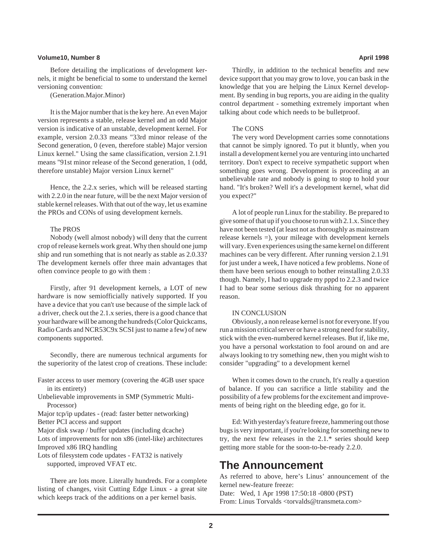### **Volume10, Number 8 April 1998**

Before detailing the implications of development kernels, it might be beneficial to some to understand the kernel versioning convention:

(Generation.Major.Minor)

It is the Major number that is the key here. An even Major version represents a stable, release kernel and an odd Major version is indicative of an unstable, development kernel. For example, version 2.0.33 means "33rd minor release of the Second generation, 0 (even, therefore stable) Major version Linux kernel." Using the same classification, version 2.1.91 means "91st minor release of the Second generation, 1 (odd, therefore unstable) Major version Linux kernel"

Hence, the 2.2.x series, which will be released starting with 2.2.0 in the near future, will be the next Major version of stable kernel releases. With that out of the way, let us examine the PROs and CONs of using development kernels.

### The PROS

Nobody (well almost nobody) will deny that the current crop of release kernels work great. Why then should one jump ship and run something that is not nearly as stable as 2.0.33? The development kernels offer three main advantages that often convince people to go with them :

Firstly, after 91 development kernels, a LOT of new hardware is now semiofficially natively supported. If you have a device that you can't use because of the simple lack of a driver, check out the 2.1.x series, there is a good chance that your hardware will be among the hundreds (Color Quickcams, Radio Cards and NCR53C9x SCSI just to name a few) of new components supported.

Secondly, there are numerous technical arguments for the superiority of the latest crop of creations. These include:

- Faster access to user memory (covering the 4GB user space in its entirety)
- Unbelievable improvements in SMP (Symmetric Multi-Processor)
- Major tcp/ip updates (read: faster better networking) Better PCI access and support
- Major disk swap / buffer updates (including dcache)

Lots of improvements for non x86 (intel-like) architectures Improved x86 IRQ handling

Lots of filesystem code updates - FAT32 is natively supported, improved VFAT etc.

There are lots more. Literally hundreds. For a complete listing of changes, visit Cutting Edge Linux - a great site which keeps track of the additions on a per kernel basis.

Thirdly, in addition to the technical benefits and new device support that you may grow to love, you can bask in the knowledge that you are helping the Linux Kernel development. By sending in bug reports, you are aiding in the quality control department - something extremely important when talking about code which needs to be bulletproof.

### The CONS

The very word Development carries some connotations that cannot be simply ignored. To put it bluntly, when you install a development kernel you are venturing into uncharted territory. Don't expect to receive sympathetic support when something goes wrong. Development is proceeding at an unbelievable rate and nobody is going to stop to hold your hand. "It's broken? Well it's a development kernel, what did you expect?"

A lot of people run Linux for the stability. Be prepared to give some of that up if you choose to run with 2.1.x. Since they have not been tested (at least not as thoroughly as mainstream release kernels =), your mileage with development kernels will vary. Even experiences using the same kernel on different machines can be very different. After running version 2.1.91 for just under a week, I have noticed a few problems. None of them have been serious enough to bother reinstalling 2.0.33 though. Namely, I had to upgrade my pppd to 2.2.3 and twice I had to bear some serious disk thrashing for no apparent reason.

### IN CONCLUSION

Obviously, a non release kernel is not for everyone. If you run a mission critical server or have a strong need for stability, stick with the even-numbered kernel releases. But if, like me, you have a personal workstation to fool around on and are always looking to try something new, then you might wish to consider "upgrading" to a development kernel

When it comes down to the crunch, It's really a question of balance. If you can sacrifice a little stability and the possibility of a few problems for the excitement and improvements of being right on the bleeding edge, go for it.

Ed: With yesterday's feature freeze, hammering out those bugs is very important, if you're looking for something new to try, the next few releases in the 2.1.\* series should keep getting more stable for the soon-to-be-ready 2.2.0.

## **The Announcement**

As referred to above, here's Linus' announcement of the kernel new-feature freeze:

Date: Wed, 1 Apr 1998 17:50:18 -0800 (PST) From: Linus Torvalds <torvalds@transmeta.com>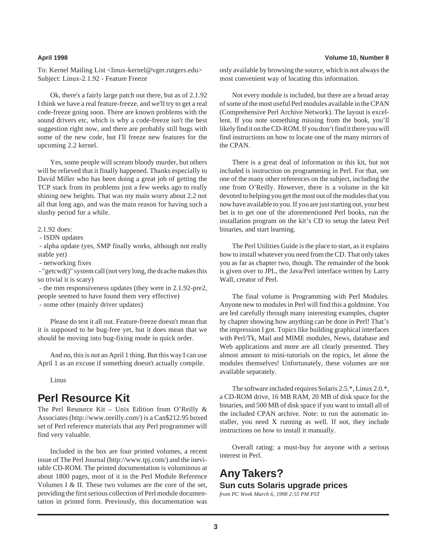To: Kernel Mailing List <linux-kernel@vger.rutgers.edu> Subject: Linux-2.1.92 - Feature Freeze

Ok, there's a fairly large patch out there, but as of 2.1.92 I think we have a real feature-freeze, and we'll try to get a real code-freeze going soon. There are known problems with the sound drivers etc, which is why a code-freeze isn't the best suggestion right now, and there are probably still bugs with some of the new code, but I'll freeze new features for the upcoming 2.2 kernel.

Yes, some people will scream bloody murder, but others will be relieved that it finally happened. Thanks especially to David Miller who has been doing a great job of getting the TCP stack from its problems just a few weeks ago to really shining new heights. That was my main worry about 2.2 not all that long ago, and was the main reason for having such a slushy period for a while.

### 2.1.92 does:

- ISDN updates

 - alpha update (yes, SMP finally works, although not really stable yet)

- networking fixes

 - "getcwd()" system call (not very long, the dcache makes this so trivial it is scary)

 - the mm responsiveness updates (they were in 2.1.92-pre2, people seemed to have found them very effective) - some other (mainly driver updates)

Please do test it all out. Feature-freeze doesn't mean that it is supposed to be bug-free yet, but it does mean that we should be moving into bug-fixing mode in quick order.

And no, this is not an April 1 thing. But this way I can use April 1 as an excuse if something doesn't actually compile.

Linus

## **Perl Resource Kit**

The Perl Resource Kit – Unix Edition from O'Reilly & Associates (http://www.oreilly.com/) is a Can\$212.95 boxed set of Perl reference materials that any Perl programmer will find very valuable.

Included in the box are four printed volumes, a recent issue of The Perl Journal (http://www.tpj.com/) and the inevitable CD-ROM. The printed documentation is voluminous at about 1800 pages, most of it in the Perl Module Reference Volumes I & II. These two volumes are the core of the set, providing the first serious collection of Perl module documentation in printed form. Previously, this documentation was only available by browsing the source, which is not always the most convenient way of locating this information.

Not every module is included, but there are a broad array of some of the most useful Perl modules available in the CPAN (Comprehensive Perl Archive Network). The layout is excellent. If you note something missing from the book, you'll likely find it on the CD-ROM. If you don't find it there you will find instructions on how to locate one of the many mirrors of the CPAN.

There is a great deal of information in this kit, but not included is instruction on programming in Perl. For that, see one of the many other references on the subject, including the one from O'Reilly. However, there is a volume in the kit devoted to helping you get the most out of the modules that you now have available to you. If you are just starting out, your best bet is to get one of the aforementioned Perl books, run the installation program on the kit's CD to setup the latest Perl binaries, and start learning.

The Perl Utilities Guide is the place to start, as it explains how to install whatever you need from the CD. That only takes you as far as chapter two, though. The remainder of the book is given over to JPL, the Java/Perl interface written by Larry Wall, creator of Perl.

The final volume is Programming with Perl Modules. Anyone new to modules in Perl will find this a goldmine. You are led carefully through many interesting examples, chapter by chapter showing how anything can be done in Perl! That's the impression I got. Topics like building graphical interfaces with Perl/Tk, Mail and MIME modules, News, database and Web applications and more are all clearly presented. They almost amount to mini-tutorials on the topics, let alone the modules themselves! Unfortunately, these volumes are not available separately.

The software included requires Solaris 2.5.\*, Linux 2.0.\*, a CD-ROM drive, 16 MB RAM, 20 MB of disk space for the binaries, and 500 MB of disk space if you want to install all of the included CPAN archive. Note: to run the automatic installer, you need X running as well. If not, they include instructions on how to install it manually.

Overall rating: a must-buy for anyone with a serious interest in Perl.

**Any Takers? Sun cuts Solaris upgrade prices** *from PC Week March 6, 1998 2:55 PM PST*